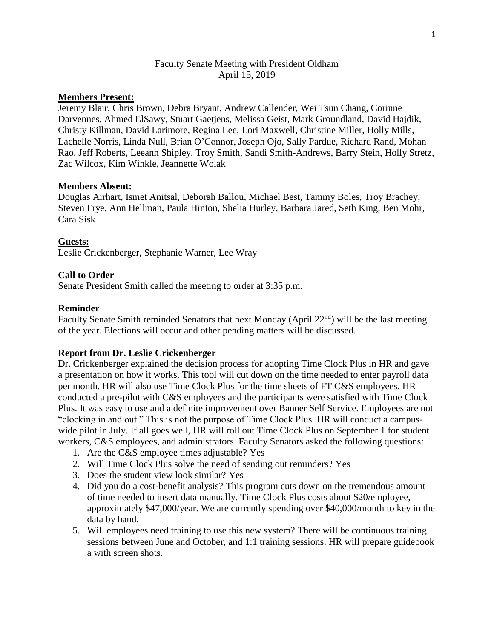# Faculty Senate Meeting with President Oldham April 15, 2019

# **Members Present:**

Jeremy Blair, Chris Brown, Debra Bryant, Andrew Callender, Wei Tsun Chang, Corinne Darvennes, Ahmed ElSawy, Stuart Gaetjens, Melissa Geist, Mark Groundland, David Hajdik, Christy Killman, David Larimore, Regina Lee, Lori Maxwell, Christine Miller, Holly Mills, Lachelle Norris, Linda Null, Brian O'Connor, Joseph Ojo, Sally Pardue, Richard Rand, Mohan Rao, Jeff Roberts, Leeann Shipley, Troy Smith, Sandi Smith-Andrews, Barry Stein, Holly Stretz, Zac Wilcox, Kim Winkle, Jeannette Wolak

### **Members Absent:**

Douglas Airhart, Ismet Anitsal, Deborah Ballou, Michael Best, Tammy Boles, Troy Brachey, Steven Frye, Ann Hellman, Paula Hinton, Shelia Hurley, Barbara Jared, Seth King, Ben Mohr, Cara Sisk

#### **Guests:**

Leslie Crickenberger, Stephanie Warner, Lee Wray

#### **Call to Order**

Senate President Smith called the meeting to order at 3:35 p.m.

#### **Reminder**

Faculty Senate Smith reminded Senators that next Monday (April 22<sup>nd</sup>) will be the last meeting of the year. Elections will occur and other pending matters will be discussed.

#### **Report from Dr. Leslie Crickenberger**

Dr. Crickenberger explained the decision process for adopting Time Clock Plus in HR and gave a presentation on how it works. This tool will cut down on the time needed to enter payroll data per month. HR will also use Time Clock Plus for the time sheets of FT C&S employees. HR conducted a pre-pilot with C&S employees and the participants were satisfied with Time Clock Plus. It was easy to use and a definite improvement over Banner Self Service. Employees are not "clocking in and out." This is not the purpose of Time Clock Plus. HR will conduct a campuswide pilot in July. If all goes well, HR will roll out Time Clock Plus on September 1 for student workers, C&S employees, and administrators. Faculty Senators asked the following questions:

- 1. Are the C&S employee times adjustable? Yes
- 2. Will Time Clock Plus solve the need of sending out reminders? Yes
- 3. Does the student view look similar? Yes
- 4. Did you do a cost-benefit analysis? This program cuts down on the tremendous amount of time needed to insert data manually. Time Clock Plus costs about \$20/employee, approximately \$47,000/year. We are currently spending over \$40,000/month to key in the data by hand.
- 5. Will employees need training to use this new system? There will be continuous training sessions between June and October, and 1:1 training sessions. HR will prepare guidebook a with screen shots.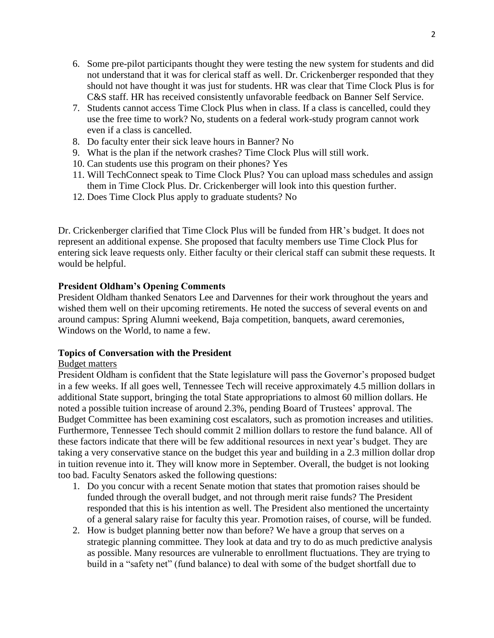- 6. Some pre-pilot participants thought they were testing the new system for students and did not understand that it was for clerical staff as well. Dr. Crickenberger responded that they should not have thought it was just for students. HR was clear that Time Clock Plus is for C&S staff. HR has received consistently unfavorable feedback on Banner Self Service.
- 7. Students cannot access Time Clock Plus when in class. If a class is cancelled, could they use the free time to work? No, students on a federal work-study program cannot work even if a class is cancelled.
- 8. Do faculty enter their sick leave hours in Banner? No
- 9. What is the plan if the network crashes? Time Clock Plus will still work.
- 10. Can students use this program on their phones? Yes
- 11. Will TechConnect speak to Time Clock Plus? You can upload mass schedules and assign them in Time Clock Plus. Dr. Crickenberger will look into this question further.
- 12. Does Time Clock Plus apply to graduate students? No

Dr. Crickenberger clarified that Time Clock Plus will be funded from HR's budget. It does not represent an additional expense. She proposed that faculty members use Time Clock Plus for entering sick leave requests only. Either faculty or their clerical staff can submit these requests. It would be helpful.

# **President Oldham's Opening Comments**

President Oldham thanked Senators Lee and Darvennes for their work throughout the years and wished them well on their upcoming retirements. He noted the success of several events on and around campus: Spring Alumni weekend, Baja competition, banquets, award ceremonies, Windows on the World, to name a few.

# **Topics of Conversation with the President**

# Budget matters

President Oldham is confident that the State legislature will pass the Governor's proposed budget in a few weeks. If all goes well, Tennessee Tech will receive approximately 4.5 million dollars in additional State support, bringing the total State appropriations to almost 60 million dollars. He noted a possible tuition increase of around 2.3%, pending Board of Trustees' approval. The Budget Committee has been examining cost escalators, such as promotion increases and utilities. Furthermore, Tennessee Tech should commit 2 million dollars to restore the fund balance. All of these factors indicate that there will be few additional resources in next year's budget. They are taking a very conservative stance on the budget this year and building in a 2.3 million dollar drop in tuition revenue into it. They will know more in September. Overall, the budget is not looking too bad. Faculty Senators asked the following questions:

- 1. Do you concur with a recent Senate motion that states that promotion raises should be funded through the overall budget, and not through merit raise funds? The President responded that this is his intention as well. The President also mentioned the uncertainty of a general salary raise for faculty this year. Promotion raises, of course, will be funded.
- 2. How is budget planning better now than before? We have a group that serves on a strategic planning committee. They look at data and try to do as much predictive analysis as possible. Many resources are vulnerable to enrollment fluctuations. They are trying to build in a "safety net" (fund balance) to deal with some of the budget shortfall due to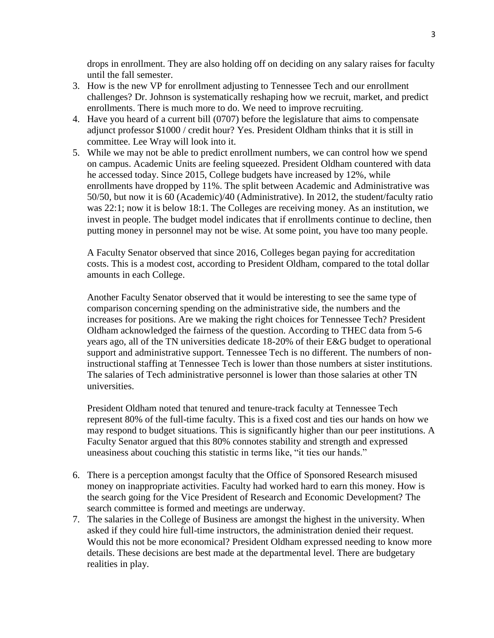drops in enrollment. They are also holding off on deciding on any salary raises for faculty until the fall semester.

- 3. How is the new VP for enrollment adjusting to Tennessee Tech and our enrollment challenges? Dr. Johnson is systematically reshaping how we recruit, market, and predict enrollments. There is much more to do. We need to improve recruiting.
- 4. Have you heard of a current bill (0707) before the legislature that aims to compensate adjunct professor \$1000 / credit hour? Yes. President Oldham thinks that it is still in committee. Lee Wray will look into it.
- 5. While we may not be able to predict enrollment numbers, we can control how we spend on campus. Academic Units are feeling squeezed. President Oldham countered with data he accessed today. Since 2015, College budgets have increased by 12%, while enrollments have dropped by 11%. The split between Academic and Administrative was 50/50, but now it is 60 (Academic)/40 (Administrative). In 2012, the student/faculty ratio was 22:1; now it is below 18:1. The Colleges are receiving money. As an institution, we invest in people. The budget model indicates that if enrollments continue to decline, then putting money in personnel may not be wise. At some point, you have too many people.

A Faculty Senator observed that since 2016, Colleges began paying for accreditation costs. This is a modest cost, according to President Oldham, compared to the total dollar amounts in each College.

Another Faculty Senator observed that it would be interesting to see the same type of comparison concerning spending on the administrative side, the numbers and the increases for positions. Are we making the right choices for Tennessee Tech? President Oldham acknowledged the fairness of the question. According to THEC data from 5-6 years ago, all of the TN universities dedicate 18-20% of their E&G budget to operational support and administrative support. Tennessee Tech is no different. The numbers of noninstructional staffing at Tennessee Tech is lower than those numbers at sister institutions. The salaries of Tech administrative personnel is lower than those salaries at other TN universities.

President Oldham noted that tenured and tenure-track faculty at Tennessee Tech represent 80% of the full-time faculty. This is a fixed cost and ties our hands on how we may respond to budget situations. This is significantly higher than our peer institutions. A Faculty Senator argued that this 80% connotes stability and strength and expressed uneasiness about couching this statistic in terms like, "it ties our hands."

- 6. There is a perception amongst faculty that the Office of Sponsored Research misused money on inappropriate activities. Faculty had worked hard to earn this money. How is the search going for the Vice President of Research and Economic Development? The search committee is formed and meetings are underway.
- 7. The salaries in the College of Business are amongst the highest in the university. When asked if they could hire full-time instructors, the administration denied their request. Would this not be more economical? President Oldham expressed needing to know more details. These decisions are best made at the departmental level. There are budgetary realities in play.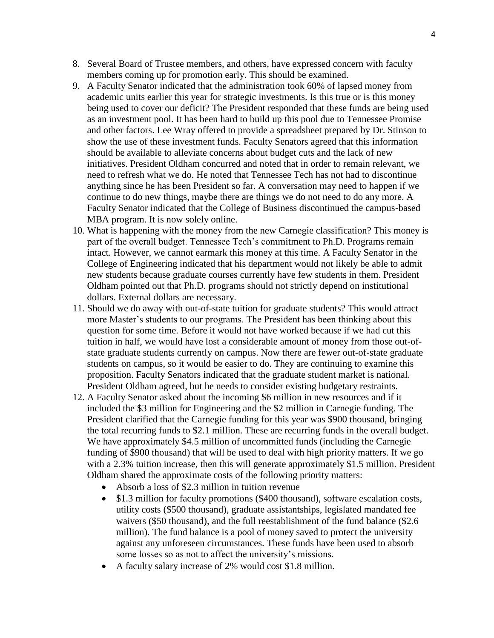- 8. Several Board of Trustee members, and others, have expressed concern with faculty members coming up for promotion early. This should be examined.
- 9. A Faculty Senator indicated that the administration took 60% of lapsed money from academic units earlier this year for strategic investments. Is this true or is this money being used to cover our deficit? The President responded that these funds are being used as an investment pool. It has been hard to build up this pool due to Tennessee Promise and other factors. Lee Wray offered to provide a spreadsheet prepared by Dr. Stinson to show the use of these investment funds. Faculty Senators agreed that this information should be available to alleviate concerns about budget cuts and the lack of new initiatives. President Oldham concurred and noted that in order to remain relevant, we need to refresh what we do. He noted that Tennessee Tech has not had to discontinue anything since he has been President so far. A conversation may need to happen if we continue to do new things, maybe there are things we do not need to do any more. A Faculty Senator indicated that the College of Business discontinued the campus-based MBA program. It is now solely online.
- 10. What is happening with the money from the new Carnegie classification? This money is part of the overall budget. Tennessee Tech's commitment to Ph.D. Programs remain intact. However, we cannot earmark this money at this time. A Faculty Senator in the College of Engineering indicated that his department would not likely be able to admit new students because graduate courses currently have few students in them. President Oldham pointed out that Ph.D. programs should not strictly depend on institutional dollars. External dollars are necessary.
- 11. Should we do away with out-of-state tuition for graduate students? This would attract more Master's students to our programs. The President has been thinking about this question for some time. Before it would not have worked because if we had cut this tuition in half, we would have lost a considerable amount of money from those out-ofstate graduate students currently on campus. Now there are fewer out-of-state graduate students on campus, so it would be easier to do. They are continuing to examine this proposition. Faculty Senators indicated that the graduate student market is national. President Oldham agreed, but he needs to consider existing budgetary restraints.
- 12. A Faculty Senator asked about the incoming \$6 million in new resources and if it included the \$3 million for Engineering and the \$2 million in Carnegie funding. The President clarified that the Carnegie funding for this year was \$900 thousand, bringing the total recurring funds to \$2.1 million. These are recurring funds in the overall budget. We have approximately \$4.5 million of uncommitted funds (including the Carnegie funding of \$900 thousand) that will be used to deal with high priority matters. If we go with a 2.3% tuition increase, then this will generate approximately \$1.5 million. President Oldham shared the approximate costs of the following priority matters:
	- Absorb a loss of \$2.3 million in tuition revenue
	- \$1.3 million for faculty promotions (\$400 thousand), software escalation costs, utility costs (\$500 thousand), graduate assistantships, legislated mandated fee waivers (\$50 thousand), and the full reestablishment of the fund balance (\$2.6 million). The fund balance is a pool of money saved to protect the university against any unforeseen circumstances. These funds have been used to absorb some losses so as not to affect the university's missions.
	- A faculty salary increase of 2% would cost \$1.8 million.